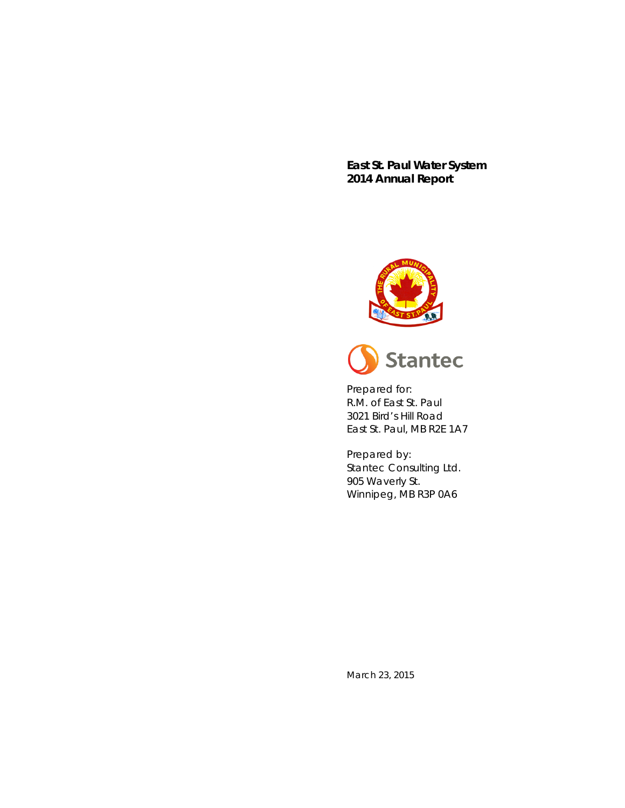**East St. Paul Water System 2014 Annual Report**





Prepared for: R.M. of East St. Paul 3021 Bird's Hill Road East St. Paul, MB R2E 1A7

Prepared by: Stantec Consulting Ltd. 905 Waverly St. Winnipeg, MB R3P 0A6

March 23, 2015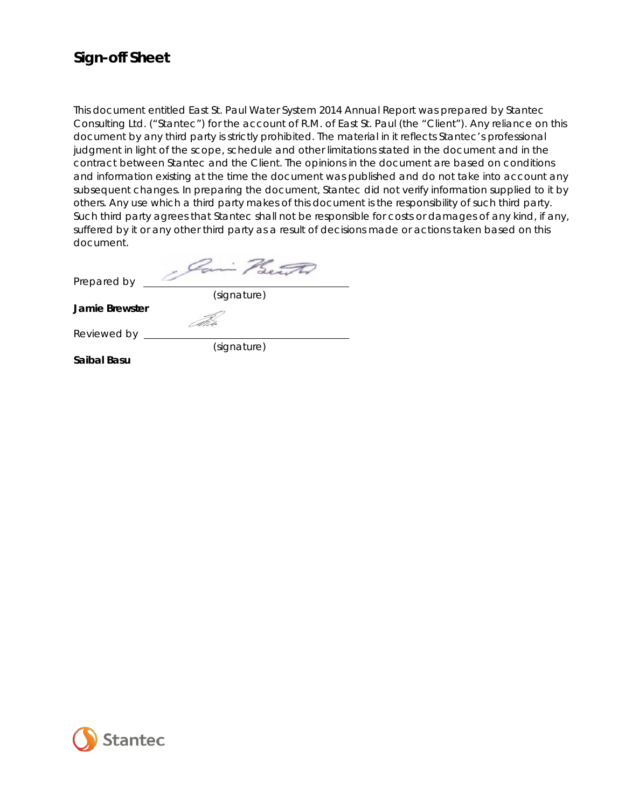# **Sign-off Sheet**

This document entitled East St. Paul Water System 2014 Annual Report was prepared by Stantec Consulting Ltd. ("Stantec") for the account of R.M. of East St. Paul (the "Client"). Any reliance on this document by any third party is strictly prohibited. The material in it reflects Stantec's professional judgment in light of the scope, schedule and other limitations stated in the document and in the contract between Stantec and the Client. The opinions in the document are based on conditions and information existing at the time the document was published and do not take into account any subsequent changes. In preparing the document, Stantec did not verify information supplied to it by others. Any use which a third party makes of this document is the responsibility of such third party. Such third party agrees that Stantec shall not be responsible for costs or damages of any kind, if any, suffered by it or any other third party as a result of decisions made or actions taken based on this document.

Prepared by (signature)

**Jamie Brewster**

Reviewed by

(signature)

**Saibal Basu**

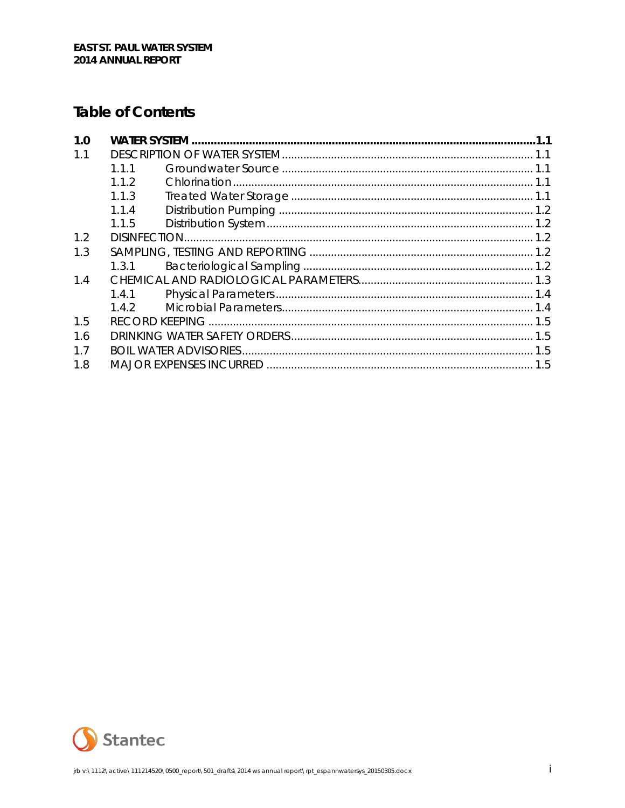# **Table of Contents**

| 1.0 |       |  |  |  |
|-----|-------|--|--|--|
| 1.1 |       |  |  |  |
|     | 111   |  |  |  |
|     | 112   |  |  |  |
|     | 1.1.3 |  |  |  |
|     | 1.1.4 |  |  |  |
|     | 1.1.5 |  |  |  |
| 1.2 |       |  |  |  |
| 1.3 |       |  |  |  |
|     | 1.3.1 |  |  |  |
| 14  |       |  |  |  |
|     | 1.4.1 |  |  |  |
|     | 142   |  |  |  |
| 1.5 |       |  |  |  |
| 1.6 |       |  |  |  |
| 1.7 |       |  |  |  |
| 1.8 |       |  |  |  |

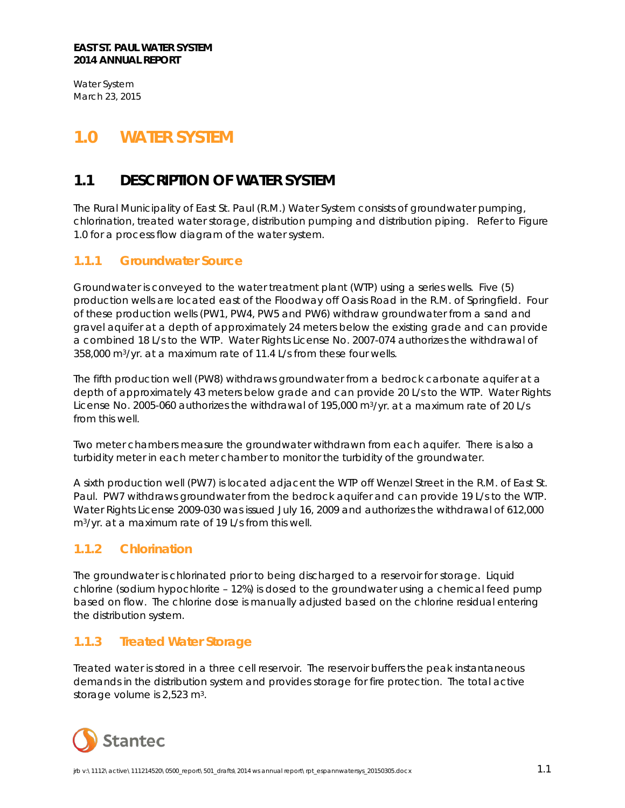Water System March 23, 2015

# <span id="page-3-0"></span>**1.0 WATER SYSTEM**

# <span id="page-3-1"></span>**1.1 DESCRIPTION OF WATER SYSTEM**

The Rural Municipality of East St. Paul (R.M.) Water System consists of groundwater pumping, chlorination, treated water storage, distribution pumping and distribution piping. Refer to Figure 1.0 for a process flow diagram of the water system.

## <span id="page-3-2"></span>**1.1.1 Groundwater Source**

Groundwater is conveyed to the water treatment plant (WTP) using a series wells. Five (5) production wells are located east of the Floodway off Oasis Road in the R.M. of Springfield. Four of these production wells (PW1, PW4, PW5 and PW6) withdraw groundwater from a sand and gravel aquifer at a depth of approximately 24 meters below the existing grade and can provide a combined 18 L/s to the WTP. Water Rights License No. 2007-074 authorizes the withdrawal of 358,000 m3/yr. at a maximum rate of 11.4 L/s from these four wells.

The fifth production well (PW8) withdraws groundwater from a bedrock carbonate aquifer at a depth of approximately 43 meters below grade and can provide 20 L/s to the WTP. Water Rights License No. 2005-060 authorizes the withdrawal of 195,000 m<sup>3</sup>/yr. at a maximum rate of 20 L/s from this well.

Two meter chambers measure the groundwater withdrawn from each aquifer. There is also a turbidity meter in each meter chamber to monitor the turbidity of the groundwater.

A sixth production well (PW7) is located adjacent the WTP off Wenzel Street in the R.M. of East St. Paul. PW7 withdraws groundwater from the bedrock aquifer and can provide 19 L/s to the WTP. Water Rights License 2009-030 was issued July 16, 2009 and authorizes the withdrawal of 612,000 m3/yr. at a maximum rate of 19 L/s from this well.

## <span id="page-3-3"></span>**1.1.2 Chlorination**

The groundwater is chlorinated prior to being discharged to a reservoir for storage. Liquid chlorine (sodium hypochlorite – 12%) is dosed to the groundwater using a chemical feed pump based on flow. The chlorine dose is manually adjusted based on the chlorine residual entering the distribution system.

## <span id="page-3-4"></span>**1.1.3 Treated Water Storage**

Treated water is stored in a three cell reservoir. The reservoir buffers the peak instantaneous demands in the distribution system and provides storage for fire protection. The total active storage volume is 2,523 m3.

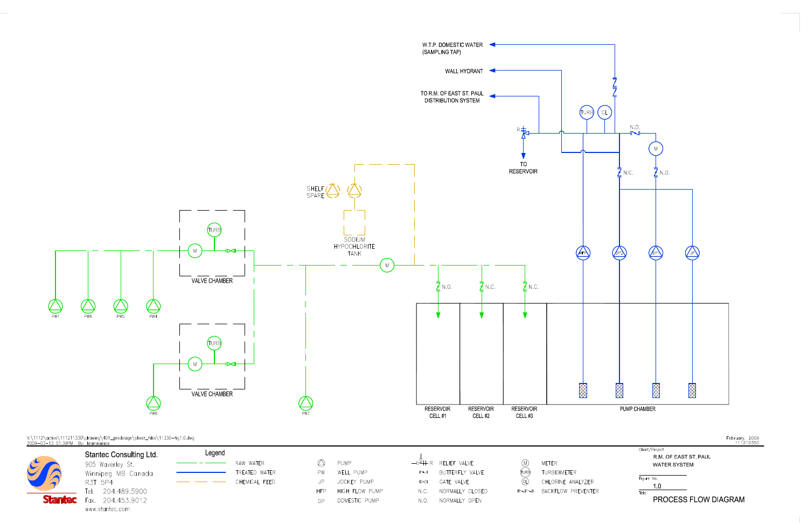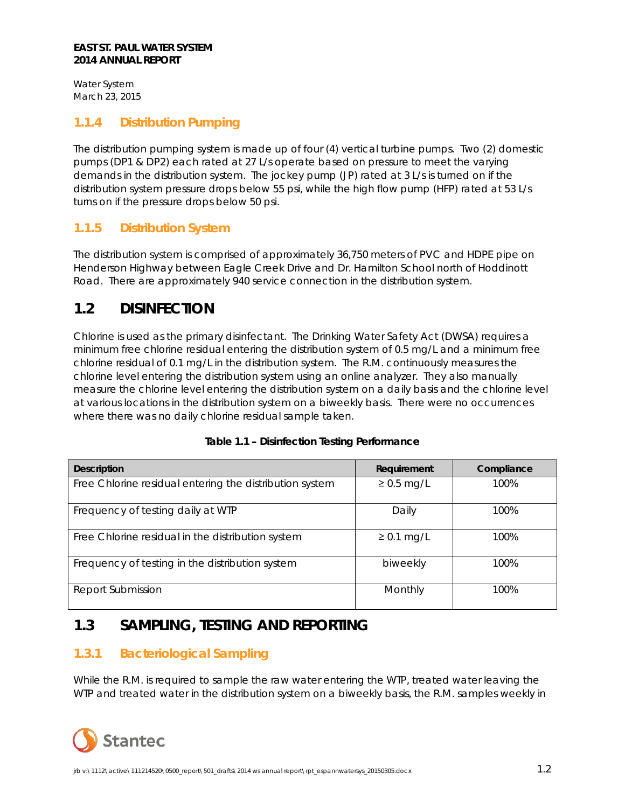Water System March 23, 2015

### <span id="page-5-0"></span>**1.1.4 Distribution Pumping**

The distribution pumping system is made up of four (4) vertical turbine pumps. Two (2) domestic pumps (DP1 & DP2) each rated at 27 L/s operate based on pressure to meet the varying demands in the distribution system. The jockey pump (JP) rated at 3 L/s is turned on if the distribution system pressure drops below 55 psi, while the high flow pump (HFP) rated at 53 L/s turns on if the pressure drops below 50 psi.

### <span id="page-5-1"></span>**1.1.5 Distribution System**

The distribution system is comprised of approximately 36,750 meters of PVC and HDPE pipe on Henderson Highway between Eagle Creek Drive and Dr. Hamilton School north of Hoddinott Road. There are approximately 940 service connection in the distribution system.

## <span id="page-5-2"></span>**1.2 DISINFECTION**

Chlorine is used as the primary disinfectant. The Drinking Water Safety Act (DWSA) requires a minimum free chlorine residual entering the distribution system of 0.5 mg/L and a minimum free chlorine residual of 0.1 mg/L in the distribution system. The R.M. continuously measures the chlorine level entering the distribution system using an online analyzer. They also manually measure the chlorine level entering the distribution system on a daily basis and the chlorine level at various locations in the distribution system on a biweekly basis. There were no occurrences where there was no daily chlorine residual sample taken.

| <b>Description</b>                                      | Requirement     | Compliance |
|---------------------------------------------------------|-----------------|------------|
| Free Chlorine residual entering the distribution system | $\geq$ 0.5 mg/L | 100%       |
| Frequency of testing daily at WTP                       | Daily           | 100%       |
| Free Chlorine residual in the distribution system       | $\geq$ 0.1 mg/L | 100%       |
| Frequency of testing in the distribution system         | biweekly        | 100%       |
| Report Submission                                       | Monthly         | 100%       |

| Table 1.1 - Disinfection Testing Performance |
|----------------------------------------------|
|                                              |

# <span id="page-5-3"></span>**1.3 SAMPLING, TESTING AND REPORTING**

## <span id="page-5-4"></span>**1.3.1 Bacteriological Sampling**

While the R.M. is required to sample the raw water entering the WTP, treated water leaving the WTP and treated water in the distribution system on a biweekly basis, the R.M. samples weekly in

![](_page_5_Picture_13.jpeg)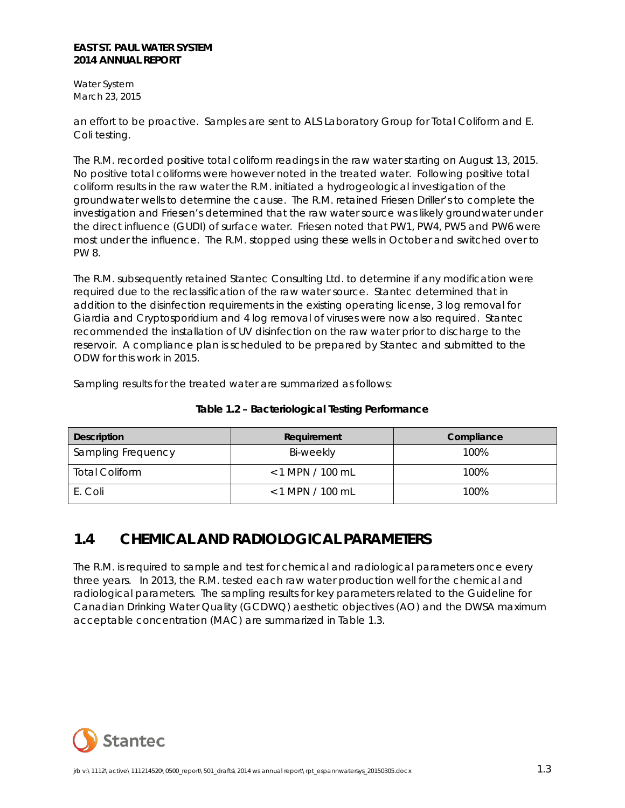Water System March 23, 2015

an effort to be proactive. Samples are sent to ALS Laboratory Group for Total Coliform and E. Coli testing.

The R.M. recorded positive total coliform readings in the raw water starting on August 13, 2015. No positive total coliforms were however noted in the treated water. Following positive total coliform results in the raw water the R.M. initiated a hydrogeological investigation of the groundwater wells to determine the cause. The R.M. retained Friesen Driller's to complete the investigation and Friesen's determined that the raw water source was likely groundwater under the direct influence (GUDI) of surface water. Friesen noted that PW1, PW4, PW5 and PW6 were most under the influence. The R.M. stopped using these wells in October and switched over to PW 8.

The R.M. subsequently retained Stantec Consulting Ltd. to determine if any modification were required due to the reclassification of the raw water source. Stantec determined that in addition to the disinfection requirements in the existing operating license, 3 log removal for *Giardia* and *Cryptosporidium* and 4 log removal of viruses were now also required. Stantec recommended the installation of UV disinfection on the raw water prior to discharge to the reservoir. A compliance plan is scheduled to be prepared by Stantec and submitted to the ODW for this work in 2015.

Sampling results for the treated water are summarized as follows:

| <b>Description</b>    | Requirement        | Compliance |
|-----------------------|--------------------|------------|
| Sampling Frequency    | Bi-weekly          | 100%       |
| <b>Total Coliform</b> | $< 1$ MPN / 100 mL | 100%       |
| E. Coli               | $< 1$ MPN / 100 mL | 100%       |

**Table 1.2 – Bacteriological Testing Performance**

# <span id="page-6-0"></span>**1.4 CHEMICAL AND RADIOLOGICAL PARAMETERS**

The R.M. is required to sample and test for chemical and radiological parameters once every three years. In 2013, the R.M. tested each raw water production well for the chemical and radiological parameters. The sampling results for key parameters related to the Guideline for Canadian Drinking Water Quality (GCDWQ) aesthetic objectives (AO) and the DWSA maximum acceptable concentration (MAC) are summarized in Table 1.3.

![](_page_6_Picture_10.jpeg)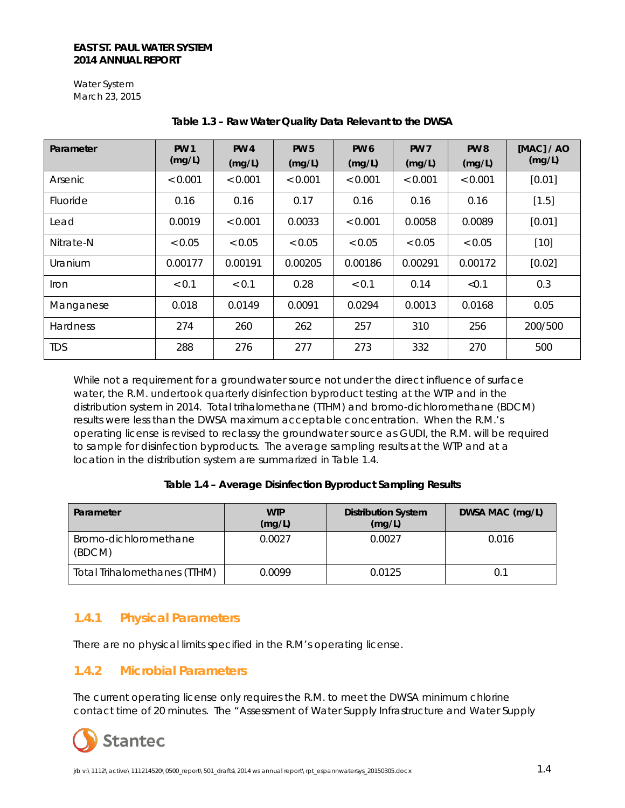Water System March 23, 2015

| Parameter       | <b>PW 1</b><br>(mg/L) | <b>PW4</b><br>(mg/L) | <b>PW 5</b><br>(mg/L) | PW <sub>6</sub><br>(mg/L) | <b>PW 7</b><br>(mg/L) | PW <sub>8</sub><br>(mg/L) | [MAC] / AO<br>(mg/L) |
|-----------------|-----------------------|----------------------|-----------------------|---------------------------|-----------------------|---------------------------|----------------------|
| Arsenic         | < 0.001               | < 0.001              | < 0.001               | < 0.001                   | < 0.001               | < 0.001                   | [0.01]               |
| Fluoride        | 0.16                  | 0.16                 | 0.17                  | 0.16                      | 0.16                  | 0.16                      | [1.5]                |
| Lead            | 0.0019                | < 0.001              | 0.0033                | < 0.001                   | 0.0058                | 0.0089                    | [0.01]               |
| Nitrate-N       | < 0.05                | < 0.05               | < 0.05                | < 0.05                    | < 0.05                | < 0.05                    | $[10]$               |
| Uranium         | 0.00177               | 0.00191              | 0.00205               | 0.00186                   | 0.00291               | 0.00172                   | [0.02]               |
| <i>I</i> ron    | < 0.1                 | < 0.1                | 0.28                  | < 0.1                     | 0.14                  | < 0.1                     | 0.3                  |
| Manganese       | 0.018                 | 0.0149               | 0.0091                | 0.0294                    | 0.0013                | 0.0168                    | 0.05                 |
| <b>Hardness</b> | 274                   | 260                  | 262                   | 257                       | 310                   | 256                       | 200/500              |
| <b>TDS</b>      | 288                   | 276                  | 277                   | 273                       | 332                   | 270                       | 500                  |

#### **Table 1.3 – Raw Water Quality Data Relevant to the DWSA**

While not a requirement for a groundwater source not under the direct influence of surface water, the R.M. undertook quarterly disinfection byproduct testing at the WTP and in the distribution system in 2014. Total trihalomethane (TTHM) and bromo-dichloromethane (BDCM) results were less than the DWSA maximum acceptable concentration. When the R.M.'s operating license is revised to reclassy the groundwater source as GUDI, the R.M. will be required to sample for disinfection byproducts. The average sampling results at the WTP and at a location in the distribution system are summarized in Table 1.4.

#### **Table 1.4 – Average Disinfection Byproduct Sampling Results**

| Parameter                           | <b>WTP</b><br>(mg/L) | <b>Distribution System</b><br>(mg/L) | DWSA MAC (mg/L) |
|-------------------------------------|----------------------|--------------------------------------|-----------------|
| Bromo-dichloromethane<br>(BDCM)     | 0.0027               | 0.0027                               | 0.016           |
| <b>Total Trihalomethanes (TTHM)</b> | 0.0099               | 0.0125                               | 0.1             |

### <span id="page-7-0"></span>**1.4.1 Physical Parameters**

There are no physical limits specified in the R.M's operating license.

### <span id="page-7-1"></span>**1.4.2 Microbial Parameters**

The current operating license only requires the R.M. to meet the DWSA minimum chlorine contact time of 20 minutes. The "Assessment of Water Supply Infrastructure and Water Supply

![](_page_7_Picture_11.jpeg)